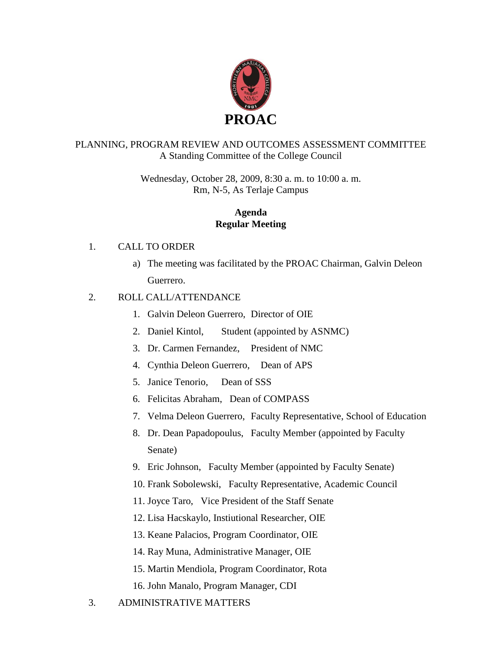

## PLANNING, PROGRAM REVIEW AND OUTCOMES ASSESSMENT COMMITTEE A Standing Committee of the College Council

Wednesday, October 28, 2009, 8:30 a. m. to 10:00 a. m. Rm, N-5, As Terlaje Campus

## **Agenda Regular Meeting**

## 1. CALL TO ORDER

a) The meeting was facilitated by the PROAC Chairman, Galvin Deleon Guerrero.

## 2. ROLL CALL/ATTENDANCE

- 1. Galvin Deleon Guerrero, Director of OIE
- 2. Daniel Kintol, Student (appointed by ASNMC)
- 3. Dr. Carmen Fernandez, President of NMC
- 4. Cynthia Deleon Guerrero, Dean of APS
- 5. Janice Tenorio, Dean of SSS
- 6. Felicitas Abraham, Dean of COMPASS
- 7. Velma Deleon Guerrero, Faculty Representative, School of Education
- 8. Dr. Dean Papadopoulus, Faculty Member (appointed by Faculty Senate)
- 9. Eric Johnson, Faculty Member (appointed by Faculty Senate)
- 10. Frank Sobolewski, Faculty Representative, Academic Council
- 11. Joyce Taro, Vice President of the Staff Senate
- 12. Lisa Hacskaylo, Instiutional Researcher, OIE
- 13. Keane Palacios, Program Coordinator, OIE
- 14. Ray Muna, Administrative Manager, OIE
- 15. Martin Mendiola, Program Coordinator, Rota
- 16. John Manalo, Program Manager, CDI
- 3. ADMINISTRATIVE MATTERS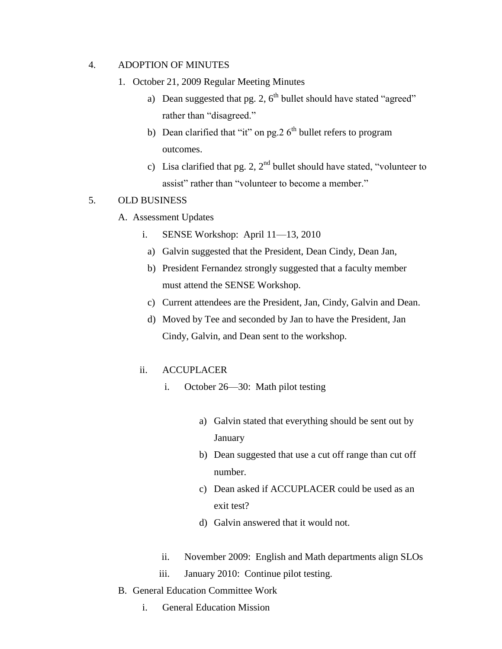### 4. ADOPTION OF MINUTES

- 1. October 21, 2009 Regular Meeting Minutes
	- a) Dean suggested that pg. 2,  $6<sup>th</sup>$  bullet should have stated "agreed" rather than "disagreed."
	- b) Dean clarified that "it" on pg.  $26<sup>th</sup>$  bullet refers to program outcomes.
	- c) Lisa clarified that pg. 2,  $2<sup>nd</sup>$  bullet should have stated, "volunteer to assist" rather than "volunteer to become a member."

### 5. OLD BUSINESS

- A. Assessment Updates
	- i. SENSE Workshop: April 11—13, 2010
		- a) Galvin suggested that the President, Dean Cindy, Dean Jan,
		- b) President Fernandez strongly suggested that a faculty member must attend the SENSE Workshop.
		- c) Current attendees are the President, Jan, Cindy, Galvin and Dean.
		- d) Moved by Tee and seconded by Jan to have the President, Jan Cindy, Galvin, and Dean sent to the workshop.

### ii. ACCUPLACER

- i. October 26—30: Math pilot testing
	- a) Galvin stated that everything should be sent out by January
	- b) Dean suggested that use a cut off range than cut off number.
	- c) Dean asked if ACCUPLACER could be used as an exit test?
	- d) Galvin answered that it would not.
- ii. November 2009: English and Math departments align SLOs
- iii. January 2010: Continue pilot testing.
- B. General Education Committee Work
	- i. General Education Mission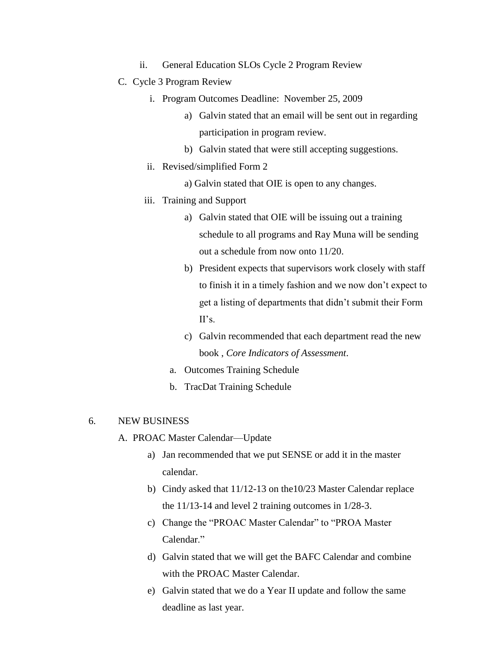- ii. General Education SLOs Cycle 2 Program Review
- C. Cycle 3 Program Review
	- i. Program Outcomes Deadline: November 25, 2009
		- a) Galvin stated that an email will be sent out in regarding participation in program review.
		- b) Galvin stated that were still accepting suggestions.
	- ii. Revised/simplified Form 2
		- a) Galvin stated that OIE is open to any changes.
	- iii. Training and Support
		- a) Galvin stated that OIE will be issuing out a training schedule to all programs and Ray Muna will be sending out a schedule from now onto 11/20.
		- b) President expects that supervisors work closely with staff to finish it in a timely fashion and we now don't expect to get a listing of departments that didn't submit their Form II's.
		- c) Galvin recommended that each department read the new book , *Core Indicators of Assessment*.
		- a. Outcomes Training Schedule
		- b. TracDat Training Schedule

#### 6. NEW BUSINESS

- A. PROAC Master Calendar—Update
	- a) Jan recommended that we put SENSE or add it in the master calendar.
	- b) Cindy asked that 11/12-13 on the10/23 Master Calendar replace the 11/13-14 and level 2 training outcomes in 1/28-3.
	- c) Change the "PROAC Master Calendar" to "PROA Master Calendar<sup>"</sup>
	- d) Galvin stated that we will get the BAFC Calendar and combine with the PROAC Master Calendar.
	- e) Galvin stated that we do a Year II update and follow the same deadline as last year.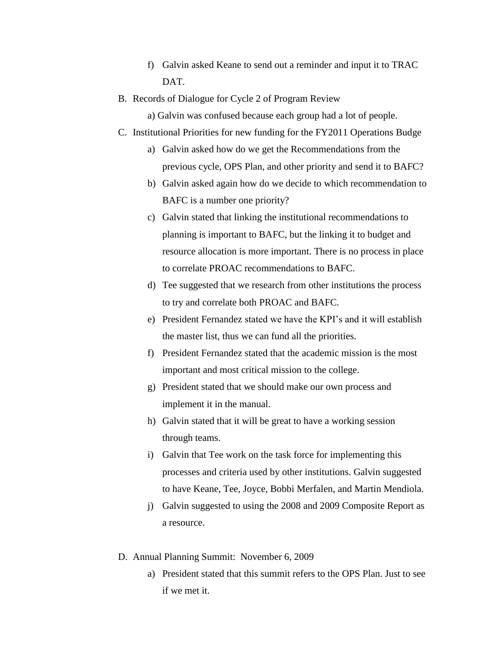- f) Galvin asked Keane to send out a reminder and input it to TRAC DAT.
- B. Records of Dialogue for Cycle 2 of Program Review
	- a) Galvin was confused because each group had a lot of people.
- C. Institutional Priorities for new funding for the FY2011 Operations Budge
	- a) Galvin asked how do we get the Recommendations from the previous cycle, OPS Plan, and other priority and send it to BAFC?
	- b) Galvin asked again how do we decide to which recommendation to BAFC is a number one priority?
	- c) Galvin stated that linking the institutional recommendations to planning is important to BAFC, but the linking it to budget and resource allocation is more important. There is no process in place to correlate PROAC recommendations to BAFC.
	- d) Tee suggested that we research from other institutions the process to try and correlate both PROAC and BAFC.
	- e) President Fernandez stated we have the KPI's and it will establish the master list, thus we can fund all the priorities.
	- f) President Fernandez stated that the academic mission is the most important and most critical mission to the college.
	- g) President stated that we should make our own process and implement it in the manual.
	- h) Galvin stated that it will be great to have a working session through teams.
	- i) Galvin that Tee work on the task force for implementing this processes and criteria used by other institutions. Galvin suggested to have Keane, Tee, Joyce, Bobbi Merfalen, and Martin Mendiola.
	- j) Galvin suggested to using the 2008 and 2009 Composite Report as a resource.
- D. Annual Planning Summit: November 6, 2009
	- a) President stated that this summit refers to the OPS Plan. Just to see if we met it.